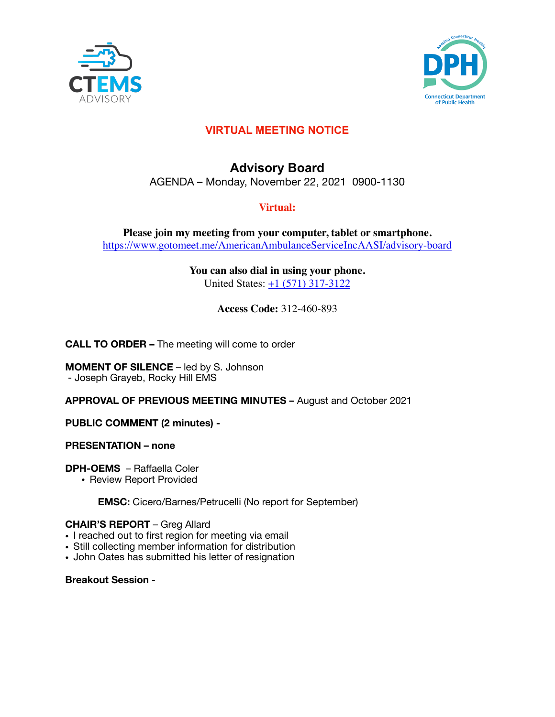



# **VIRTUAL MEETING NOTICE**

# **Advisory Board**  AGENDA – Monday, November 22, 2021 0900-1130

# **Virtual:**

**Please join my meeting from your computer, tablet or smartphone.**  <https://www.gotomeet.me/AmericanAmbulanceServiceIncAASI/advisory-board>

> **You can also dial in using your phone.** United States: [+1 \(571\) 317-3122](tel:+15713173122,,312460893%23)

> > **Access Code:** 312-460-893

**CALL TO ORDER –** The meeting will come to order

**MOMENT OF SILENCE** – led by S. Johnson - Joseph Grayeb, Rocky Hill EMS

**APPROVAL OF PREVIOUS MEETING MINUTES –** August and October 2021

**PUBLIC COMMENT (2 minutes) -** 

**PRESENTATION – none** 

**DPH-OEMS** – Raffaella Coler

• Review Report Provided

**EMSC:** Cicero/Barnes/Petrucelli (No report for September)

# **CHAIR'S REPORT** – Greg Allard

- I reached out to first region for meeting via email
- Still collecting member information for distribution
- John Oates has submitted his letter of resignation

**Breakout Session** -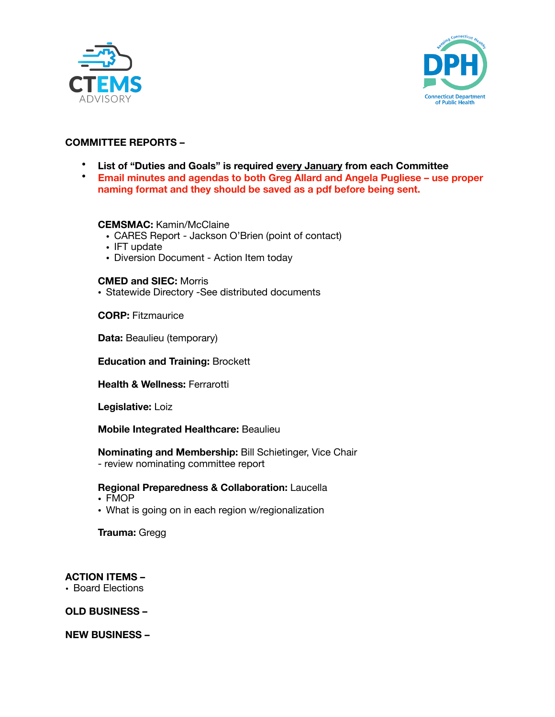



# **COMMITTEE REPORTS –**

- **List of "Duties and Goals" is required every January from each Committee**
- • **Email minutes and agendas to both Greg Allard and Angela Pugliese use proper naming format and they should be saved as a pdf before being sent.**

## **CEMSMAC:** Kamin/McClaine

- CARES Report Jackson O'Brien (point of contact)
- IFT update
- Diversion Document Action Item today

#### **CMED and SIEC:** Morris

• Statewide Directory -See distributed documents

**CORP:** Fitzmaurice

**Data: Beaulieu (temporary)** 

**Education and Training:** Brockett

**Health & Wellness:** Ferrarotti

**Legislative:** Loiz

#### **Mobile Integrated Healthcare:** Beaulieu

**Nominating and Membership:** Bill Schietinger, Vice Chair 

- review nominating committee report

#### **Regional Preparedness & Collaboration:** Laucella

- FMOP
- What is going on in each region w/regionalization

**Trauma:** Gregg 

#### **ACTION ITEMS –**

• Board Elections

**OLD BUSINESS –** 

**NEW BUSINESS –**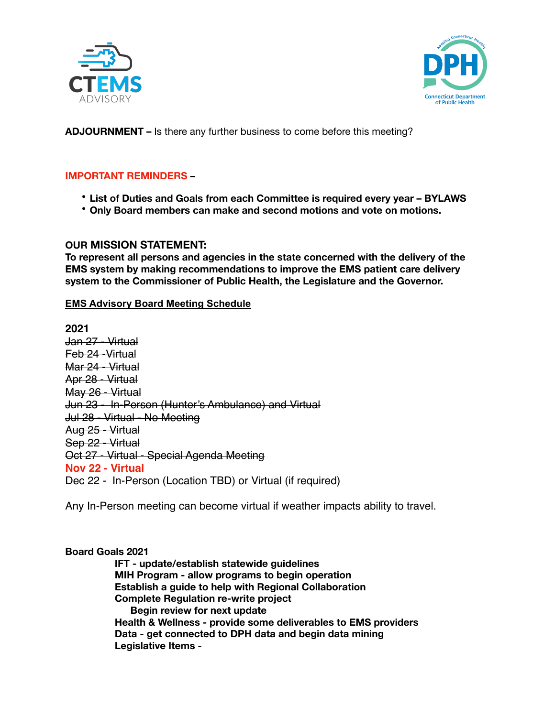



**ADJOURNMENT –** Is there any further business to come before this meeting?

## **IMPORTANT REMINDERS –**

- **List of Duties and Goals from each Committee is required every year BYLAWS**
- **Only Board members can make and second motions and vote on motions.**

## **OUR MISSION STATEMENT:**

**To represent all persons and agencies in the state concerned with the delivery of the EMS system by making recommendations to improve the EMS patient care delivery system to the Commissioner of Public Health, the Legislature and the Governor.** 

#### **EMS Advisory Board Meeting Schedule**

**2021**  Jan 27 - Virtual Feb 24 -Virtual Mar 24 - Virtual Apr 28 - Virtual May 26 - Virtual Jun 23 - In-Person (Hunter's Ambulance) and Virtual Jul 28 - Virtual - No Meeting Aug 25 - Virtual Sep 22 - Virtual Oct 27 - Virtual - Special Agenda Meeting **Nov 22 - Virtual**  Dec 22 - In-Person (Location TBD) or Virtual (if required)

Any In-Person meeting can become virtual if weather impacts ability to travel.

## **Board Goals 2021**

**IFT - update/establish statewide guidelines MIH Program - allow programs to begin operation Establish a guide to help with Regional Collaboration Complete Regulation re-write project Begin review for next update Health & Wellness - provide some deliverables to EMS providers Data - get connected to DPH data and begin data mining Legislative Items -**